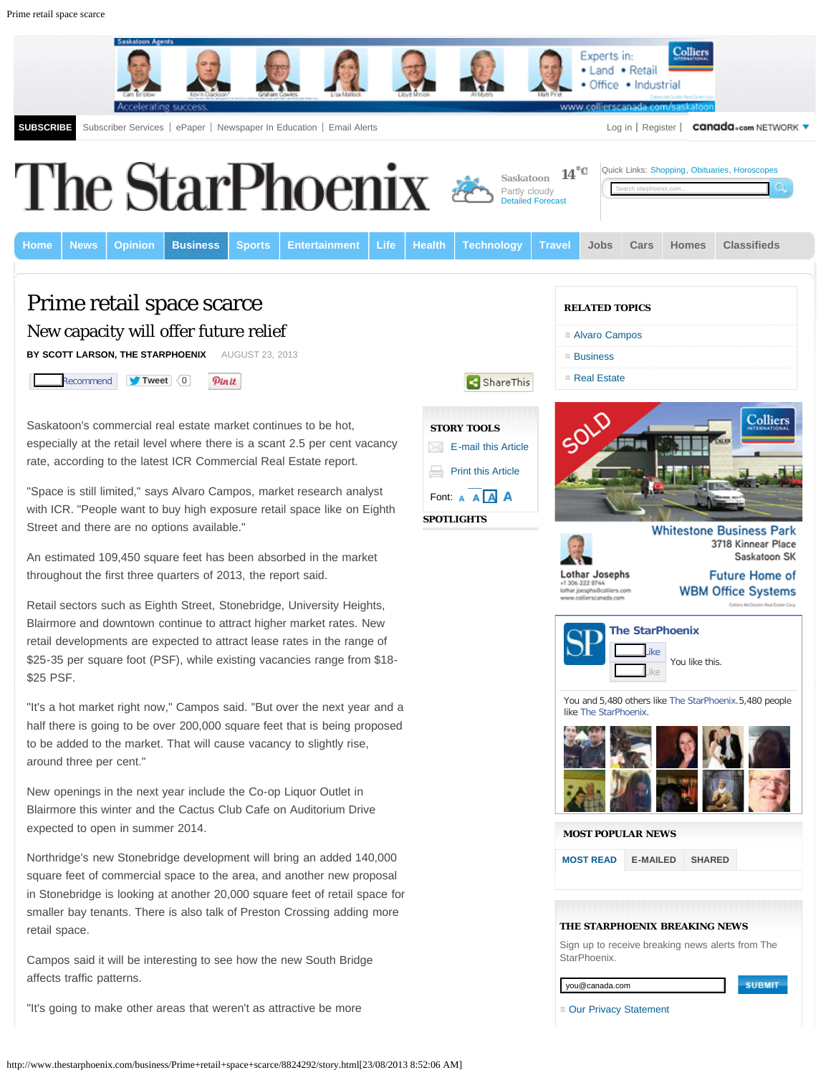

http://www.thestarphoenix.com/business/Prime+retail+space+scarce/8824292/story.html[23/08/2013 8:52:06 AM]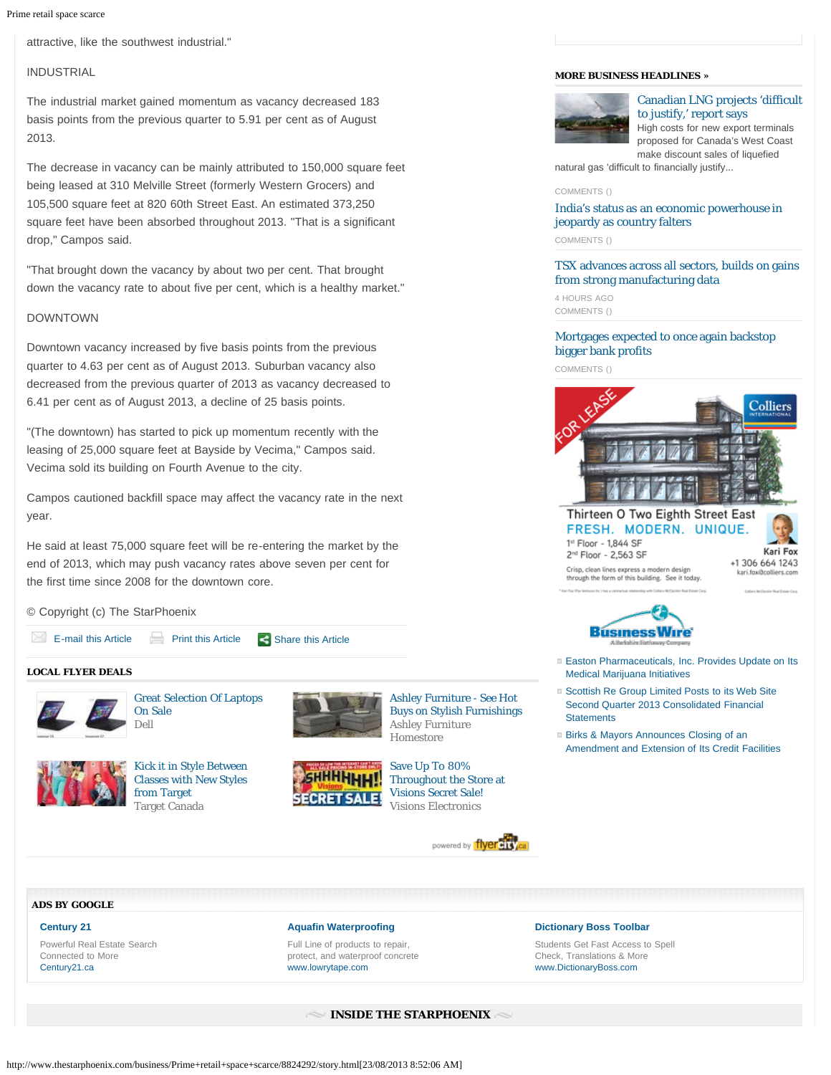attractive, like the southwest industrial."

# INDUSTRIAL

The industrial market gained momentum as vacancy decreased 183 basis points from the previous quarter to 5.91 per cent as of August 2013.

The decrease in vacancy can be mainly attributed to 150,000 square feet being leased at 310 Melville Street (formerly Western Grocers) and 105,500 square feet at 820 60th Street East. An estimated 373,250 square feet have been absorbed throughout 2013. "That is a significant drop," Campos said.

"That brought down the vacancy by about two per cent. That brought down the vacancy rate to about five per cent, which is a healthy market."

# DOWNTOWN

Downtown vacancy increased by five basis points from the previous quarter to 4.63 per cent as of August 2013. Suburban vacancy also decreased from the previous quarter of 2013 as vacancy decreased to 6.41 per cent as of August 2013, a decline of 25 basis points.

"(The downtown) has started to pick up momentum recently with the leasing of 25,000 square feet at Bayside by Vecima," Campos said. Vecima sold its building on Fourth Avenue to the city.

Campos cautioned backfill space may affect the vacancy rate in the next year.

He said at least 75,000 square feet will be re-entering the market by the end of 2013, which may push vacancy rates above seven per cent for the first time since 2008 for the downtown core.

[Target Canada](http://www.flyercity.ca/flyers/targetcanada-catalogue?p=starphoenix&auto_locate=true&locale=en&utm_source=fsm&utm_medium=fsm_174&utm_term=s_merchant_link&utm_content=ft_551&utm_campaign=wishabi_1_0)

# © Copyright (c) The StarPhoenix





[Throughout the Store at](http://www.flyercity.ca/editorials/flyer_item/8749052?auto_locate=true&p=starphoenix&locale=en&utm_source=fsm&utm_medium=fsm_174&utm_term=s_text&utm_content=fsi_8749052&utm_campaign=wishabi_1_0) [Visions Secret Sale!](http://www.flyercity.ca/editorials/flyer_item/8749052?auto_locate=true&p=starphoenix&locale=en&utm_source=fsm&utm_medium=fsm_174&utm_term=s_text&utm_content=fsi_8749052&utm_campaign=wishabi_1_0) [Visions Electronics](http://www.flyercity.ca/flyers/visions-visions?p=starphoenix&auto_locate=true&locale=en&utm_source=fsm&utm_medium=fsm_174&utm_term=s_merchant_link&utm_content=ft_16&utm_campaign=wishabi_1_0)

powered by flyereis





[Canadian LNG projects 'difficult](http://www.thestarphoenix.com/business/fp/Canadian+projects+difficult+justify+report+says/8822129/story.html) [to justify,' report says](http://www.thestarphoenix.com/business/fp/Canadian+projects+difficult+justify+report+says/8822129/story.html) High costs for new export terminals proposed for Canada's West Coast make discount sales of liquefied

natural gas 'difficult to financially justify...

### [COMMENTS \(\)](http://www.thestarphoenix.com/business/fp/Canadian+projects+difficult+justify+report+says/8822129/story.html#Comments)

# [India's status as an economic powerhouse in](http://www.thestarphoenix.com/business/fp/India+status+economic+powerhouse+jeopardy+country+falters/8824965/story.html) [jeopardy as country falters](http://www.thestarphoenix.com/business/fp/India+status+economic+powerhouse+jeopardy+country+falters/8824965/story.html)

[COMMENTS \(\)](http://www.thestarphoenix.com/business/fp/India+status+economic+powerhouse+jeopardy+country+falters/8824965/story.html#Comments)

[TSX advances across all sectors, builds on gains](http://www.thestarphoenix.com/business/fp/advances+across+sectors+builds+gains+from+strong+manufacturing+data/8825149/story.html) [from strong manufacturing data](http://www.thestarphoenix.com/business/fp/advances+across+sectors+builds+gains+from+strong+manufacturing+data/8825149/story.html)

4 HOURS AGO [COMMENTS \(\)](http://www.thestarphoenix.com/business/fp/advances+across+sectors+builds+gains+from+strong+manufacturing+data/8825149/story.html#Comments)

# [Mortgages expected to once again backstop](http://www.thestarphoenix.com/business/fp/Mortgages+expected+once+again+backstop+bigger+bank+profits/8821818/story.html) [bigger bank profits](http://www.thestarphoenix.com/business/fp/Mortgages+expected+once+again+backstop+bigger+bank+profits/8821818/story.html)

[COMMENTS \(\)](http://www.thestarphoenix.com/business/fp/Mortgages+expected+once+again+backstop+bigger+bank+profits/8821818/story.html#Comments)



## Thirteen O Two Eighth Street East FRESH. MODERN. UNIQUE. 1st Floor - 1,844 SF 2<sup>nd</sup> Floor - 2,563 SF

Crisp, clean lines express a modern design through the form of this building. See it today.



**BusmessWire** 

- [Easton Pharmaceuticals, Inc. Provides Update on Its](http://www.businesswire.com/news/thestarphoenix/20130823005326/en/Easton-Pharmaceuticals-Update-Medical-Marijuana-Initiatives) [Medical Marijuana Initiatives](http://www.businesswire.com/news/thestarphoenix/20130823005326/en/Easton-Pharmaceuticals-Update-Medical-Marijuana-Initiatives)
- [Scottish Re Group Limited Posts to its Web Site](http://www.businesswire.com/news/thestarphoenix/20130822005975/en/Scottish-Group-Limited-Posts-Web-Site-Quarter) [Second Quarter 2013 Consolidated Financial](http://www.businesswire.com/news/thestarphoenix/20130822005975/en/Scottish-Group-Limited-Posts-Web-Site-Quarter) **[Statements](http://www.businesswire.com/news/thestarphoenix/20130822005975/en/Scottish-Group-Limited-Posts-Web-Site-Quarter)**
- [Birks & Mayors Announces Closing of an](http://www.businesswire.com/news/thestarphoenix/20130822006124/en/Birks-Mayors-Announces-Closing-Amendment-Extension-Credit) [Amendment and Extension of Its Credit Facilities](http://www.businesswire.com/news/thestarphoenix/20130822006124/en/Birks-Mayors-Announces-Closing-Amendment-Extension-Credit)

#### **[ADS BY GOOGLE](http://www.google.com/url?ct=abg&q=https://www.google.com/adsense/support/bin/request.py%3Fcontact%3Dabg_afc%26url%3Dhttp://www.thestarphoenix.com/business/Prime%252Bretail%252Bspace%252Bscarce/8824292/story.html%26gl%3DCA%26hl%3Den%26client%3Dca-pub-1718995873402338%26ai0%3DCKQclpXUXUqHoFeLCwQH3rYDgD6WQ7JMEndfdg1u1zMGX1AEQASDQjIcMKANQz-OoXWD9wK6B9APIAQGpAoZewz4Iy68-qAMBqgSZAU_Q6C3EKrKA-IkIMpqwlqEmcZJWUlSeNKdHhY_SiGeGLwKJvraus96oTKquhDpMhOgu4sFfrhZ5XgZCFQR2hWhrh2mFgCkc5DeMZFbenoYjdRDyAkpD9lC9_wR2R_xVDRD5wy-JQ3gImTxGz60BJfH3LL8OOvWWtN9wcPG9AzlaNBGxtsngxZlFBw9eIU7otmrs7tvB8ShEUYAHkbCMDA%26ai1%3DCtF3YpXUXUqHoFeLCwQH3rYDgD6rH55wC8tGz61_AjbcBEAIg0IyHDCgDUNSd0l1g_cCugfQDyAEBqQKGXsM-CMuvPqgDAaoElgFP0OhhgyqxgPiJCDKasJahJnGSVlJUnjSnR4WP0ohnhi8Cib62rrPeqEyqroQ6TIToLuLBX64WeV4GQhUEdoVoa4dphYApHOQ3jGRW3p6GI3UQ8gJKQ_ZQvf8Edkf8VQ0Q-cMviUN4CJk8Rs-tASXx9yy_Djr1lrTfcHD5vYQIr8AZSo3U4NNsRkH6XVW7a4eKagX6cHKAB4L0zSk%26ai2%3DCFuafpXUXUqHoFeLCwQH3rYDgD_ry8NIF8q63iE7AjbcBEAMg0IyHDCgDUKSzlscDYP3AroH0A6AB7o3t4gPIAQGoAwGqBJkBT9CoO4oqsID4iQgymrCWoSZxklZSVJ40p0eFj9KIZ4YvAom-tq6z3qhMqq6EOkyE6C7iwV-uFnleBkIVBHaFaGuHaYWAKRzkN4xkVt6ehiN1EPICSkP2UL3_BHZH_FUNEPnDL4lDeAiZPEbPrQEl8fcsvw469Za0p3Nwsb0HOVpjMJvbyeDFmUUHD14hTui2auzu28GKZ2ZBiAYBgAf68ZId&usg=AFQjCNFv9iJc9ZUTldt5rdKmABSPWtns3g)**

## **[Century 21](http://googleads.g.doubleclick.net/aclk?sa=L&ai=CKQclpXUXUqHoFeLCwQH3rYDgD6WQ7JMEndfdg1u1zMGX1AEQASDQjIcMKANQz-OoXWD9wK6B9APIAQGpAoZewz4Iy68-qAMBqgSZAU_Q6C3EKrKA-IkIMpqwlqEmcZJWUlSeNKdHhY_SiGeGLwKJvraus96oTKquhDpMhOgu4sFfrhZ5XgZCFQR2hWhrh2mFgCkc5DeMZFbenoYjdRDyAkpD9lC9_wR2R_xVDRD5wy-JQ3gImTxGz60BJfH3LL8OOvWWtN9wcPG9AzlaNBGxtsngxZlFBw9eIU7otmrs7tvB8ShEUYAHkbCMDA&num=1&sig=AOD64_1m_QJjMXWM4OEKvr-n0JLakZNMnQ&client=ca-pub-1718995873402338&adurl=http://www.century21.ca%3Futm_source%3Dgaw%26utm_medium%3Dbanner%26utm_term%3Drmrk%26utm_content%3Dtxt1%26utm_campaign%3Dslogan)**

Powerful Real Estate Search Connected to More [Century21.ca](http://googleads.g.doubleclick.net/aclk?sa=L&ai=CKQclpXUXUqHoFeLCwQH3rYDgD6WQ7JMEndfdg1u1zMGX1AEQASDQjIcMKANQz-OoXWD9wK6B9APIAQGpAoZewz4Iy68-qAMBqgSZAU_Q6C3EKrKA-IkIMpqwlqEmcZJWUlSeNKdHhY_SiGeGLwKJvraus96oTKquhDpMhOgu4sFfrhZ5XgZCFQR2hWhrh2mFgCkc5DeMZFbenoYjdRDyAkpD9lC9_wR2R_xVDRD5wy-JQ3gImTxGz60BJfH3LL8OOvWWtN9wcPG9AzlaNBGxtsngxZlFBw9eIU7otmrs7tvB8ShEUYAHkbCMDA&num=1&sig=AOD64_1m_QJjMXWM4OEKvr-n0JLakZNMnQ&client=ca-pub-1718995873402338&adurl=http://www.century21.ca%3Futm_source%3Dgaw%26utm_medium%3Dbanner%26utm_term%3Drmrk%26utm_content%3Dtxt1%26utm_campaign%3Dslogan)

## **[Aquafin Waterproofing](http://googleads.g.doubleclick.net/aclk?sa=L&ai=CtF3YpXUXUqHoFeLCwQH3rYDgD6rH55wC8tGz61_AjbcBEAIg0IyHDCgDUNSd0l1g_cCugfQDyAEBqQKGXsM-CMuvPqgDAaoElgFP0OhhgyqxgPiJCDKasJahJnGSVlJUnjSnR4WP0ohnhi8Cib62rrPeqEyqroQ6TIToLuLBX64WeV4GQhUEdoVoa4dphYApHOQ3jGRW3p6GI3UQ8gJKQ_ZQvf8Edkf8VQ0Q-cMviUN4CJk8Rs-tASXx9yy_Djr1lrTfcHD5vYQIr8AZSo3U4NNsRkH6XVW7a4eKagX6cHKAB4L0zSk&num=2&sig=AOD64_2PPsrDfvXtE3xURBeLvY8Y8-jwcw&client=ca-pub-1718995873402338&adurl=http://www.lowrytape.com)**

Full Line of products to repair, protect, and waterproof concrete [www.lowrytape.com](http://googleads.g.doubleclick.net/aclk?sa=L&ai=CtF3YpXUXUqHoFeLCwQH3rYDgD6rH55wC8tGz61_AjbcBEAIg0IyHDCgDUNSd0l1g_cCugfQDyAEBqQKGXsM-CMuvPqgDAaoElgFP0OhhgyqxgPiJCDKasJahJnGSVlJUnjSnR4WP0ohnhi8Cib62rrPeqEyqroQ6TIToLuLBX64WeV4GQhUEdoVoa4dphYApHOQ3jGRW3p6GI3UQ8gJKQ_ZQvf8Edkf8VQ0Q-cMviUN4CJk8Rs-tASXx9yy_Djr1lrTfcHD5vYQIr8AZSo3U4NNsRkH6XVW7a4eKagX6cHKAB4L0zSk&num=2&sig=AOD64_2PPsrDfvXtE3xURBeLvY8Y8-jwcw&client=ca-pub-1718995873402338&adurl=http://www.lowrytape.com)

## **[Dictionary Boss Toolbar](http://www.googleadservices.com/pagead/aclk?sa=L&ai=CFuafpXUXUqHoFeLCwQH3rYDgD_ry8NIF8q63iE7AjbcBEAMg0IyHDCgDUKSzlscDYP3AroH0A6AB7o3t4gPIAQGoAwGqBJkBT9CoO4oqsID4iQgymrCWoSZxklZSVJ40p0eFj9KIZ4YvAom-tq6z3qhMqq6EOkyE6C7iwV-uFnleBkIVBHaFaGuHaYWAKRzkN4xkVt6ehiN1EPICSkP2UL3_BHZH_FUNEPnDL4lDeAiZPEbPrQEl8fcsvw469Za0p3Nwsb0HOVpjMJvbyeDFmUUHD14hTui2auzu28GKZ2ZBiAYBgAf68ZId&num=3&cid=5GjDqWq1E6Hz5ep7DZojrR7q&sig=AOD64_2nFcLR7lt-w4FqiRECkiuBVY8ADg&client=ca-pub-1718995873402338&adurl=http://download.dictionaryboss.com/index.jhtml%3Fspu%3Dtrue%26partner%3DXQxdm017)**

Students Get Fast Access to Spell Check, Translations & More [www.DictionaryBoss.com](http://www.googleadservices.com/pagead/aclk?sa=L&ai=CFuafpXUXUqHoFeLCwQH3rYDgD_ry8NIF8q63iE7AjbcBEAMg0IyHDCgDUKSzlscDYP3AroH0A6AB7o3t4gPIAQGoAwGqBJkBT9CoO4oqsID4iQgymrCWoSZxklZSVJ40p0eFj9KIZ4YvAom-tq6z3qhMqq6EOkyE6C7iwV-uFnleBkIVBHaFaGuHaYWAKRzkN4xkVt6ehiN1EPICSkP2UL3_BHZH_FUNEPnDL4lDeAiZPEbPrQEl8fcsvw469Za0p3Nwsb0HOVpjMJvbyeDFmUUHD14hTui2auzu28GKZ2ZBiAYBgAf68ZId&num=3&cid=5GjDqWq1E6Hz5ep7DZojrR7q&sig=AOD64_2nFcLR7lt-w4FqiRECkiuBVY8ADg&client=ca-pub-1718995873402338&adurl=http://download.dictionaryboss.com/index.jhtml%3Fspu%3Dtrue%26partner%3DXQxdm017)

## **INSIDE THE STARPHOENIX**